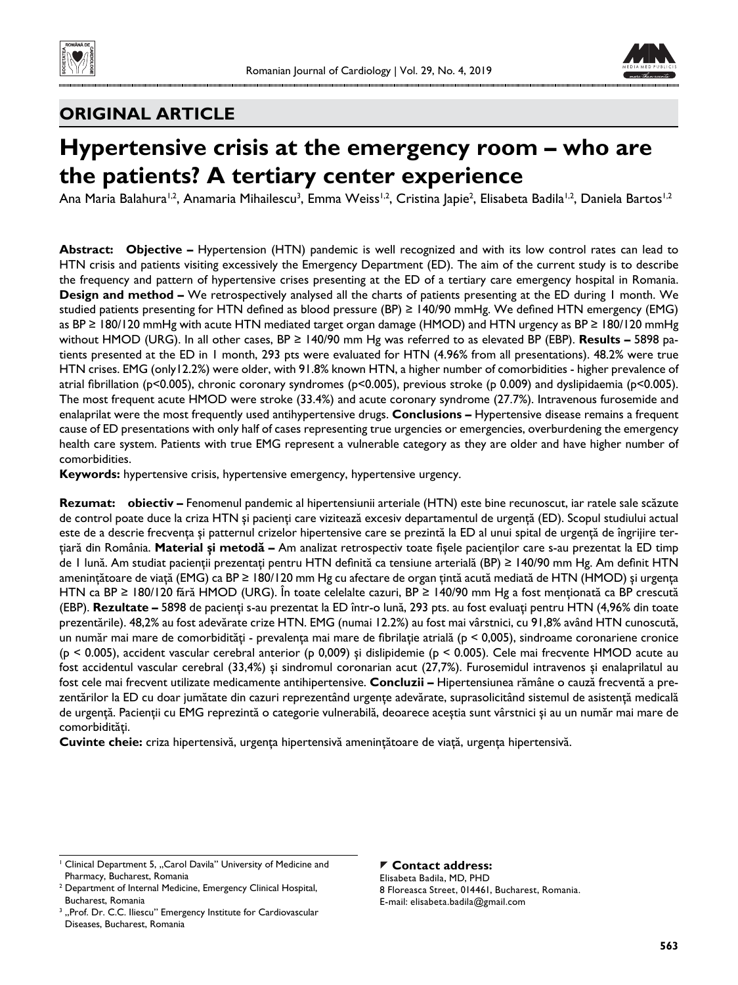



# **ORIGINAL ARTICLE**

# **Hypertensive crisis at the emergency room – who are the patients? A tertiary center experience**

Ana Maria Balahura<sup>1,2</sup>, Anamaria Mihailescu<sup>3</sup>, Emma Weiss<sup>1,2</sup>, Cristina Japie<sup>2</sup>, Elisabeta Badila<sup>1,2</sup>, Daniela Bartos<sup>1,2</sup>

**Abstract: Objective –** Hypertension (HTN) pandemic is well recognized and with its low control rates can lead to HTN crisis and patients visiting excessively the Emergency Department (ED). The aim of the current study is to describe the frequency and pattern of hypertensive crises presenting at the ED of a tertiary care emergency hospital in Romania. **Design and method –** We retrospectively analysed all the charts of patients presenting at the ED during 1 month. We studied patients presenting for HTN defined as blood pressure (BP)  $\geq$  140/90 mmHg. We defined HTN emergency (EMG) as BP ≥ 180/120 mmHg with acute HTN mediated target organ damage (HMOD) and HTN urgency as BP ≥ 180/120 mmHg without HMOD (URG). In all other cases, BP ≥ 140/90 mm Hg was referred to as elevated BP (EBP). **Results –** 5898 patients presented at the ED in 1 month, 293 pts were evaluated for HTN (4.96% from all presentations). 48.2% were true HTN crises. EMG (only12.2%) were older, with 91.8% known HTN, a higher number of comorbidities - higher prevalence of atrial fibrillation (p<0.005), chronic coronary syndromes (p<0.005), previous stroke (p 0.009) and dyslipidaemia (p<0.005). The most frequent acute HMOD were stroke (33.4%) and acute coronary syndrome (27.7%). Intravenous furosemide and enalaprilat were the most frequently used antihypertensive drugs. **Conclusions –** Hypertensive disease remains a frequent cause of ED presentations with only half of cases representing true urgencies or emergencies, overburdening the emergency health care system. Patients with true EMG represent a vulnerable category as they are older and have higher number of comorbidities.

**Keywords:** hypertensive crisis, hypertensive emergency, hypertensive urgency.

**Rezumat: obiectiv –** Fenomenul pandemic al hipertensiunii arteriale (HTN) este bine recunoscut, iar ratele sale scăzute de control poate duce la criza HTN și pacienți care vizitează excesiv departamentul de urgență (ED). Scopul studiului actual este de a descrie frecvența și patternul crizelor hipertensive care se prezintă la ED al unui spital de urgență de îngrijire terţiară din România. **Material şi metodă –** Am analizat retrospectiv toate fişele pacienţilor care s-au prezentat la ED timp de 1 lună. Am studiat pacienții prezentați pentru HTN definită ca tensiune arterială (BP) ≥ 140/90 mm Hg. Am definit HTN ameninţătoare de viaţă (EMG) ca BP ≥ 180/120 mm Hg cu afectare de organ ţintă acută mediată de HTN (HMOD) şi urgenţa HTN ca BP ≥ 180/120 fără HMOD (URG). În toate celelalte cazuri, BP ≥ 140/90 mm Hg a fost menţionată ca BP crescută (EBP). **Rezultate –** 5898 de pacienţi s-au prezentat la ED într-o lună, 293 pts. au fost evaluaţi pentru HTN (4,96% din toate prezentările). 48,2% au fost adevărate crize HTN. EMG (numai 12.2%) au fost mai vârstnici, cu 91,8% având HTN cunoscută, un număr mai mare de comorbidități - prevalența mai mare de fibrilație atrială (p < 0,005), sindroame coronariene cronice (p < 0.005), accident vascular cerebral anterior (p 0,009) şi dislipidemie (p < 0.005). Cele mai frecvente HMOD acute au fost accidentul vascular cerebral (33,4%) şi sindromul coronarian acut (27,7%). Furosemidul intravenos şi enalaprilatul au fost cele mai frecvent utilizate medicamente antihipertensive. **Concluzii –** Hipertensiunea rămâne o cauză frecventă a prezentărilor la ED cu doar jumătate din cazuri reprezentând urgențe adevărate, suprasolicitând sistemul de asistență medicală de urgență. Pacienții cu EMG reprezintă o categorie vulnerabilă, deoarece aceștia sunt vârstnici și au un număr mai mare de comorbidităţi.

**Cuvinte cheie:** criza hipertensivă, urgenţa hipertensivă ameninţătoare de viaţă, urgenţa hipertensivă.

## **Contact address:**

Elisabeta Badila, MD, PHD 8 Floreasca Street, 014461, Bucharest, Romania. E-mail: elisabeta.badila@gmail.com

<sup>&</sup>lt;sup>1</sup> Clinical Department 5, "Carol Davila" University of Medicine and Pharmacy, Bucharest, Romania

<sup>2</sup> Department of Internal Medicine, Emergency Clinical Hospital, Bucharest, Romania

<sup>3</sup> "Prof. Dr. C.C. Iliescu" Emergency Institute for Cardiovascular Diseases, Bucharest, Romania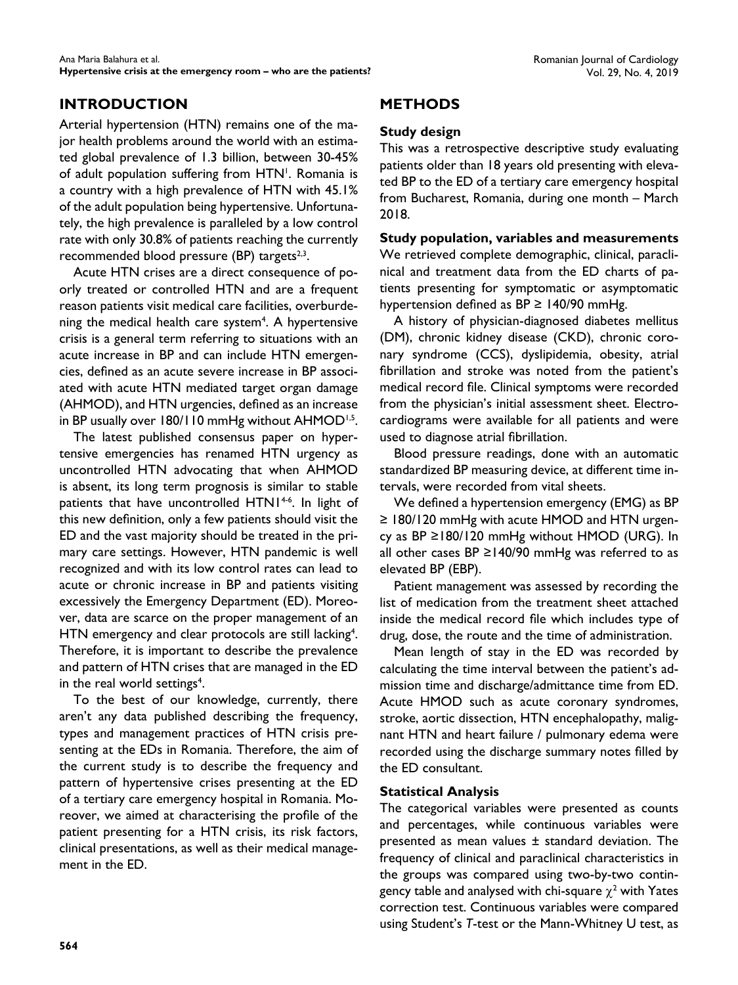# **INTRODUCTION**

Arterial hypertension (HTN) remains one of the major health problems around the world with an estimated global prevalence of 1.3 billion, between 30-45% of adult population suffering from HTN<sup>1</sup>. Romania is a country with a high prevalence of HTN with 45.1% of the adult population being hypertensive. Unfortunately, the high prevalence is paralleled by a low control rate with only 30.8% of patients reaching the currently recommended blood pressure (BP) targets $2,3$ .

Acute HTN crises are a direct consequence of poorly treated or controlled HTN and are a frequent reason patients visit medical care facilities, overburdening the medical health care system<sup>4</sup>. A hypertensive crisis is a general term referring to situations with an acute increase in BP and can include HTN emergencies, defined as an acute severe increase in BP associated with acute HTN mediated target organ damage (AHMOD), and HTN urgencies, defined as an increase in BP usually over 180/110 mmHg without AHMOD<sup>1,5</sup>.

The latest published consensus paper on hypertensive emergencies has renamed HTN urgency as uncontrolled HTN advocating that when AHMOD is absent, its long term prognosis is similar to stable patients that have uncontrolled HTN1<sup>4-6</sup>. In light of this new definition, only a few patients should visit the ED and the vast majority should be treated in the primary care settings. However, HTN pandemic is well recognized and with its low control rates can lead to acute or chronic increase in BP and patients visiting excessively the Emergency Department (ED). Moreover, data are scarce on the proper management of an HTN emergency and clear protocols are still lacking<sup>4</sup>. Therefore, it is important to describe the prevalence and pattern of HTN crises that are managed in the ED in the real world settings<sup>4</sup>.

To the best of our knowledge, currently, there aren't any data published describing the frequency, types and management practices of HTN crisis presenting at the EDs in Romania. Therefore, the aim of the current study is to describe the frequency and pattern of hypertensive crises presenting at the ED of a tertiary care emergency hospital in Romania. Moreover, we aimed at characterising the profile of the patient presenting for a HTN crisis, its risk factors, clinical presentations, as well as their medical management in the ED.

# **METHODS**

## **Study design**

This was a retrospective descriptive study evaluating patients older than 18 years old presenting with elevated BP to the ED of a tertiary care emergency hospital from Bucharest, Romania, during one month – March 2018.

## **Study population, variables and measurements**

We retrieved complete demographic, clinical, paraclinical and treatment data from the ED charts of patients presenting for symptomatic or asymptomatic hypertension defined as  $BP \ge 140/90$  mmHg.

A history of physician-diagnosed diabetes mellitus (DM), chronic kidney disease (CKD), chronic coronary syndrome (CCS), dyslipidemia, obesity, atrial fibrillation and stroke was noted from the patient's medical record file. Clinical symptoms were recorded from the physician's initial assessment sheet. Electrocardiograms were available for all patients and were used to diagnose atrial fibrillation.

Blood pressure readings, done with an automatic standardized BP measuring device, at different time intervals, were recorded from vital sheets.

We defined a hypertension emergency (EMG) as BP ≥ 180/120 mmHg with acute HMOD and HTN urgency as BP ≥180/120 mmHg without HMOD (URG). In all other cases BP ≥140/90 mmHg was referred to as elevated BP (EBP).

Patient management was assessed by recording the list of medication from the treatment sheet attached inside the medical record file which includes type of drug, dose, the route and the time of administration.

Mean length of stay in the ED was recorded by calculating the time interval between the patient's admission time and discharge/admittance time from ED. Acute HMOD such as acute coronary syndromes, stroke, aortic dissection, HTN encephalopathy, malignant HTN and heart failure / pulmonary edema were recorded using the discharge summary notes filled by the ED consultant.

## **Statistical Analysis**

The categorical variables were presented as counts and percentages, while continuous variables were presented as mean values ± standard deviation. The frequency of clinical and paraclinical characteristics in the groups was compared using two-by-two contingency table and analysed with chi-square  $\chi^2$  with Yates correction test. Continuous variables were compared using Student's *T*-test or the Mann-Whitney U test, as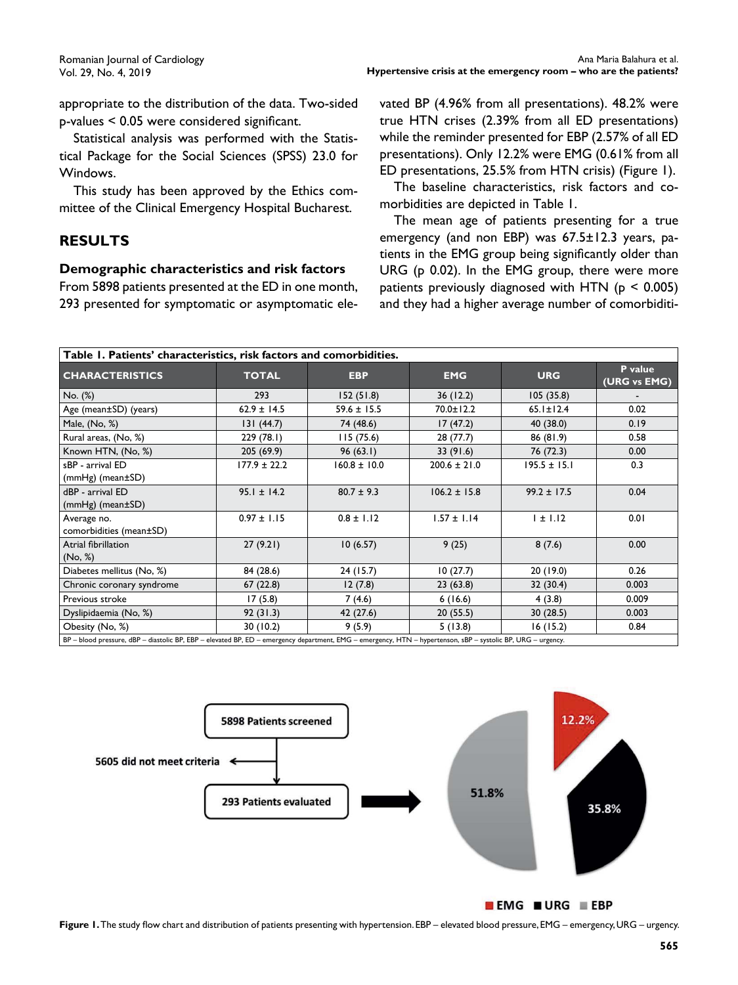appropriate to the distribution of the data. Two-sided  $p$ -values < 0.05 were considered significant.

Statistical analysis was performed with the Statistical Package for the Social Sciences (SPSS) 23.0 for Windows.

This study has been approved by the Ethics committee of the Clinical Emergency Hospital Bucharest.

## **RESULTS**

## **Demographic characteristics and risk factors**

From 5898 patients presented at the ED in one month, 293 presented for symptomatic or asymptomatic elevated BP (4.96% from all presentations). 48.2% were true HTN crises (2.39% from all ED presentations) while the reminder presented for EBP (2.57% of all ED presentations). Only 12.2% were EMG (0.61% from all ED presentations, 25.5% from HTN crisis) (Figure 1).

The baseline characteristics, risk factors and comorbidities are depicted in Table 1.

The mean age of patients presenting for a true emergency (and non EBP) was 67.5±12.3 years, patients in the EMG group being significantly older than URG (p 0.02). In the EMG group, there were more patients previously diagnosed with HTN (p < 0.005) and they had a higher average number of comorbiditi-

| Table 1. Patients' characteristics, risk factors and comorbidities.                                                                                 |                  |                  |                  |                  |                         |  |  |  |  |
|-----------------------------------------------------------------------------------------------------------------------------------------------------|------------------|------------------|------------------|------------------|-------------------------|--|--|--|--|
| <b>CHARACTERISTICS</b>                                                                                                                              | <b>TOTAL</b>     | <b>EBP</b>       | <b>EMG</b>       | <b>URG</b>       | P value<br>(URG vs EMG) |  |  |  |  |
| No. (%)                                                                                                                                             | 293              | 152(51.8)        | 36(12.2)         | 105(35.8)        |                         |  |  |  |  |
| Age (mean±SD) (years)                                                                                                                               | $62.9 \pm 14.5$  | $59.6 \pm 15.5$  | $70.0 \pm 12.2$  | $65.1 \pm 12.4$  | 0.02                    |  |  |  |  |
| Male, (No, %)                                                                                                                                       | 131(44.7)        | 74 (48.6)        | 17(47.2)         | 40 (38.0)        | 0.19                    |  |  |  |  |
| Rural areas, (No, %)                                                                                                                                | 229(78.1)        | 115(75.6)        | 28(77.7)         | 86(81.9)         | 0.58                    |  |  |  |  |
| Known HTN, (No, %)                                                                                                                                  | 205 (69.9)       | 96(63.1)         | 33(91.6)         | 76 (72.3)        | 0.00                    |  |  |  |  |
| sBP - arrival ED<br>$(mmHg)$ (mean $\pm$ SD)                                                                                                        | $177.9 \pm 22.2$ | $160.8 \pm 10.0$ | $200.6 \pm 21.0$ | $195.5 \pm 15.1$ | 0.3                     |  |  |  |  |
| dBP - arrival ED<br>$(mmHg)$ (mean $\pm$ SD)                                                                                                        | $95.1 \pm 14.2$  | $80.7 \pm 9.3$   | $106.2 \pm 15.8$ | $99.2 \pm 17.5$  | 0.04                    |  |  |  |  |
| Average no.<br>comorbidities (mean±SD)                                                                                                              | $0.97 \pm 1.15$  | $0.8 \pm 1.12$   | $1.57 \pm 1.14$  | $1 \pm 1.12$     | 0.01                    |  |  |  |  |
| Atrial fibrillation<br>(No, %)                                                                                                                      | 27(9.21)         | 10(6.57)         | 9(25)            | 8(7.6)           | 0.00                    |  |  |  |  |
| Diabetes mellitus (No, %)                                                                                                                           | 84 (28.6)        | 24(15.7)         | 10(27.7)         | 20(19.0)         | 0.26                    |  |  |  |  |
| Chronic coronary syndrome                                                                                                                           | 67(22.8)         | 12(7.8)          | 23(63.8)         | 32 (30.4)        | 0.003                   |  |  |  |  |
| Previous stroke                                                                                                                                     | 17(5.8)          | 7(4.6)           | 6(16.6)          | 4 (3.8)          | 0.009                   |  |  |  |  |
| Dyslipidaemia (No, %)                                                                                                                               | 92(31.3)         | 42 (27.6)        | 20(55.5)         | 30(28.5)         | 0.003                   |  |  |  |  |
| Obesity (No, %)                                                                                                                                     | 30(10.2)         | 9(5.9)           | 5(13.8)          | 16(15.2)         | 0.84                    |  |  |  |  |
| <b>DD</b> blood processes dDD dioctolic DD CDD olovated DD CD, omergency department CMC, omergency LITN, bypartences cDD, cyctolic DD LIDC, urgancy |                  |                  |                  |                  |                         |  |  |  |  |

BP – blood pressure, dBP – diastolic BP, EBP – elevated BP, ED – emergency department, EMG – emergency, HTN – hypertenson, sBP – systolic BP, URG – urgency.



 $\blacksquare$  EMG  $\blacksquare$  URG  $\blacksquare$  EBP

Figure 1. The study flow chart and distribution of patients presenting with hypertension. EBP – elevated blood pressure, EMG – emergency, URG – urgency.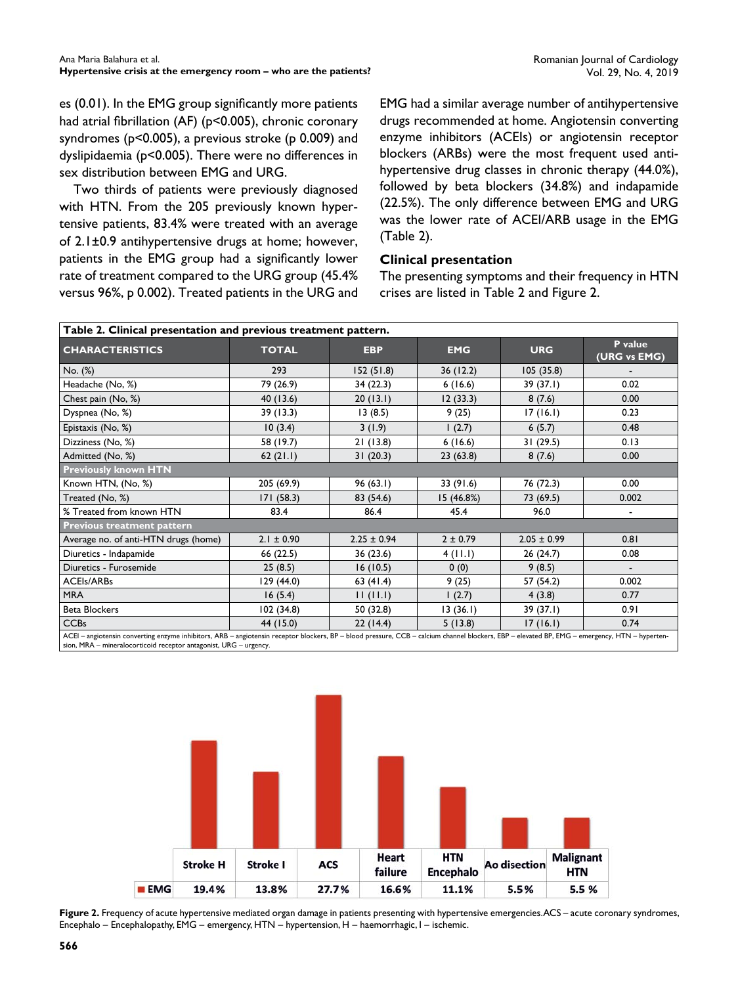es (0.01). In the EMG group significantly more patients had atrial fibrillation (AF) (p<0.005), chronic coronary syndromes (p<0.005), a previous stroke (p 0.009) and dyslipidaemia (p<0.005). There were no differences in sex distribution between EMG and URG.

Two thirds of patients were previously diagnosed with HTN. From the 205 previously known hypertensive patients, 83.4% were treated with an average of 2.1±0.9 antihypertensive drugs at home; however, patients in the EMG group had a significantly lower rate of treatment compared to the URG group (45.4% versus 96%, p 0.002). Treated patients in the URG and

EMG had a similar average number of antihypertensive drugs recommended at home. Angiotensin converting enzyme inhibitors (ACEIs) or angiotensin receptor blockers (ARBs) were the most frequent used antihypertensive drug classes in chronic therapy (44.0%), followed by beta blockers (34.8%) and indapamide (22.5%). The only difference between EMG and URG was the lower rate of ACEI/ARB usage in the EMG (Table 2).

## **Clinical presentation**

The presenting symptoms and their frequency in HTN crises are listed in Table 2 and Figure 2.

| Table 2. Clinical presentation and previous treatment pattern.                                                                                                                                 |                |                 |              |                 |                         |  |  |  |
|------------------------------------------------------------------------------------------------------------------------------------------------------------------------------------------------|----------------|-----------------|--------------|-----------------|-------------------------|--|--|--|
| <b>CHARACTERISTICS</b>                                                                                                                                                                         | <b>TOTAL</b>   | <b>EBP</b>      | <b>EMG</b>   | <b>URG</b>      | P value<br>(URG vs EMG) |  |  |  |
| No. (%)                                                                                                                                                                                        | 293            | 152(51.8)       | 36(12.2)     | 105(35.8)       |                         |  |  |  |
| Headache (No, %)                                                                                                                                                                               | 79 (26.9)      | 34(22.3)        | 6(16.6)      | 39 (37.1)       | 0.02                    |  |  |  |
| Chest pain (No, %)                                                                                                                                                                             | 40(13.6)       | 20(13.1)        | 12(33.3)     | 8(7.6)          | 0.00                    |  |  |  |
| Dyspnea (No, %)                                                                                                                                                                                | 39(13.3)       | 13(8.5)         | 9(25)        | 17(16.1)        | 0.23                    |  |  |  |
| Epistaxis (No, %)                                                                                                                                                                              | 10(3.4)        | 3(1.9)          | (2.7)        | 6(5.7)          | 0.48                    |  |  |  |
| Dizziness (No, %)                                                                                                                                                                              | 58 (19.7)      | 21(13.8)        | 6(16.6)      | 31(29.5)        | 0.13                    |  |  |  |
| Admitted (No, %)                                                                                                                                                                               | 62(21.1)       | 31(20.3)        | 23(63.8)     | 8(7.6)          | 0.00                    |  |  |  |
| <b>Previously known HTN</b>                                                                                                                                                                    |                |                 |              |                 |                         |  |  |  |
| Known HTN, (No, %)                                                                                                                                                                             | 205 (69.9)     | 96(63.1)        | 33 (91.6)    | 76 (72.3)       | 0.00                    |  |  |  |
| Treated (No, %)                                                                                                                                                                                | 171(58.3)      | 83 (54.6)       | 15 (46.8%)   | 73 (69.5)       | 0.002                   |  |  |  |
| % Treated from known HTN                                                                                                                                                                       | 83.4           | 86.4            | 45.4         | 96.0            |                         |  |  |  |
| <b>Previous treatment pattern</b>                                                                                                                                                              |                |                 |              |                 |                         |  |  |  |
| Average no. of anti-HTN drugs (home)                                                                                                                                                           | $2.1 \pm 0.90$ | $2.25 \pm 0.94$ | $2 \pm 0.79$ | $2.05 \pm 0.99$ | 0.81                    |  |  |  |
| Diuretics - Indapamide                                                                                                                                                                         | 66 (22.5)      | 36 (23.6)       | 4(11.1)      | 26(24.7)        | 0.08                    |  |  |  |
| Diuretics - Furosemide                                                                                                                                                                         | 25(8.5)        | 16(10.5)        | 0(0)         | 9(8.5)          |                         |  |  |  |
| <b>ACEIs/ARBs</b>                                                                                                                                                                              | 129 (44.0)     | 63(41.4)        | 9(25)        | 57 (54.2)       | 0.002                   |  |  |  |
| <b>MRA</b>                                                                                                                                                                                     | 16(5.4)        | 11(11.1)        | (2.7)        | 4(3.8)          | 0.77                    |  |  |  |
| <b>Beta Blockers</b>                                                                                                                                                                           | 102(34.8)      | 50 (32.8)       | 13(36.1)     | 39(37.1)        | 0.91                    |  |  |  |
| <b>CCBs</b>                                                                                                                                                                                    | 44 (15.0)      | 22(14.4)        | 5(13.8)      | 17(16.1)        | 0.74                    |  |  |  |
| ACEI - angiotensin converting enzyme inhibitors, ARB - angiotensin receptor blockers, BP - blood pressure, CCB - calcium channel blockers, EBP - elevated BP, EMG - emergency, HTN - hyperten- |                |                 |              |                 |                         |  |  |  |

sion, MRA – mineralocorticoid receptor antagonist, URG – urgency.



**Figure 2.** Frequency of acute hypertensive mediated organ damage in patients presenting with hypertensive emergencies. ACS – acute coronary syndromes, Encephalo – Encephalopathy, EMG – emergency, HTN – hypertension, H – haemorrhagic, I – ischemic.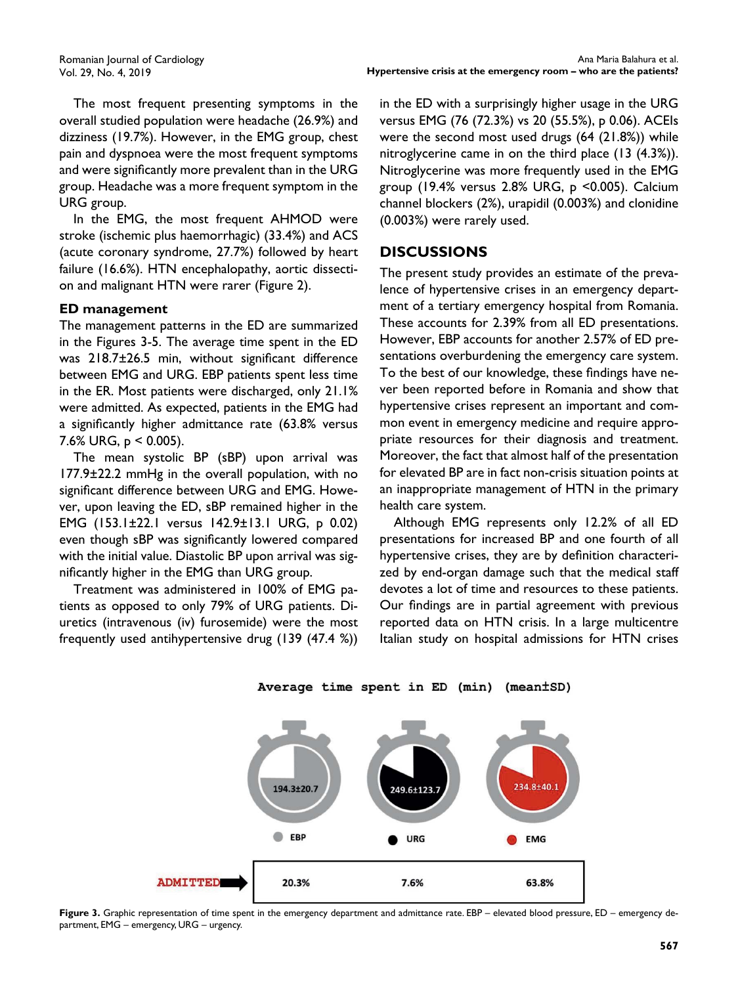Romanian Journal of Cardiology Vol. 29, No. 4, 2019

The most frequent presenting symptoms in the overall studied population were headache (26.9%) and dizziness (19.7%). However, in the EMG group, chest pain and dyspnoea were the most frequent symptoms and were significantly more prevalent than in the URG group. Headache was a more frequent symptom in the URG group.

In the EMG, the most frequent AHMOD were stroke (ischemic plus haemorrhagic) (33.4%) and ACS (acute coronary syndrome, 27.7%) followed by heart failure (16.6%). HTN encephalopathy, aortic dissection and malignant HTN were rarer (Figure 2).

#### **ED management**

The management patterns in the ED are summarized in the Figures 3-5. The average time spent in the ED was  $218.7\pm26.5$  min, without significant difference between EMG and URG. EBP patients spent less time in the ER. Most patients were discharged, only 21.1% were admitted. As expected, patients in the EMG had a significantly higher admittance rate (63.8% versus 7.6% URG,  $p < 0.005$ ).

The mean systolic BP (sBP) upon arrival was 177.9±22.2 mmHg in the overall population, with no significant difference between URG and EMG. However, upon leaving the ED, sBP remained higher in the EMG (153.1±22.1 versus 142.9±13.1 URG, p 0.02) even though sBP was significantly lowered compared with the initial value. Diastolic BP upon arrival was significantly higher in the EMG than URG group.

Treatment was administered in 100% of EMG patients as opposed to only 79% of URG patients. Diuretics (intravenous (iv) furosemide) were the most frequently used antihypertensive drug (139 (47.4 %))

in the ED with a surprisingly higher usage in the URG versus EMG (76 (72.3%) vs 20 (55.5%), p 0.06). ACEIs were the second most used drugs (64 (21.8%)) while nitroglycerine came in on the third place (13 (4.3%)). Nitroglycerine was more frequently used in the EMG group (19.4% versus 2.8% URG, p <0.005). Calcium channel blockers (2%), urapidil (0.003%) and clonidine (0.003%) were rarely used.

## **DISCUSSIONS**

The present study provides an estimate of the prevalence of hypertensive crises in an emergency department of a tertiary emergency hospital from Romania. These accounts for 2.39% from all ED presentations. However, EBP accounts for another 2.57% of ED presentations overburdening the emergency care system. To the best of our knowledge, these findings have never been reported before in Romania and show that hypertensive crises represent an important and common event in emergency medicine and require appropriate resources for their diagnosis and treatment. Moreover, the fact that almost half of the presentation for elevated BP are in fact non-crisis situation points at an inappropriate management of HTN in the primary health care system.

Although EMG represents only 12.2% of all ED presentations for increased BP and one fourth of all hypertensive crises, they are by definition characterized by end-organ damage such that the medical staff devotes a lot of time and resources to these patients. Our findings are in partial agreement with previous reported data on HTN crisis. In a large multicentre Italian study on hospital admissions for HTN crises

234.8+40



249.6+123



194.3±20.7

**Figure 3.** Graphic representation of time spent in the emergency department and admittance rate. EBP – elevated blood pressure, ED – emergency department, EMG – emergency, URG – urgency.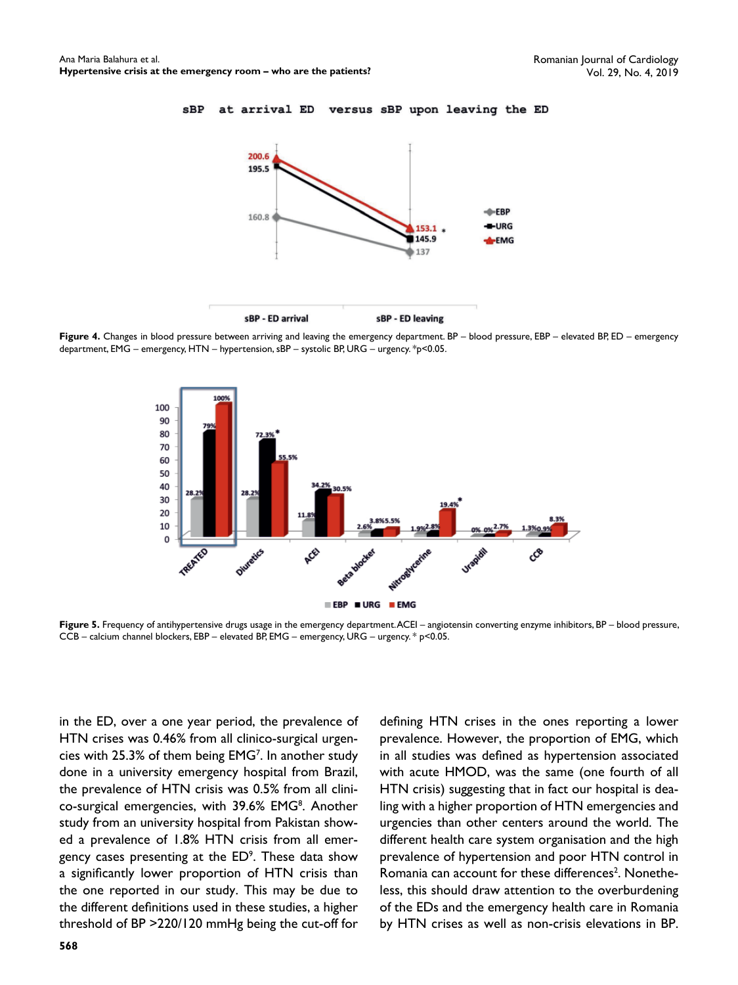at arrival ED

 $sBP$ 



**Figure 4.** Changes in blood pressure between arriving and leaving the emergency department. BP – blood pressure, EBP – elevated BP, ED – emergency department, EMG – emergency, HTN – hypertension, sBP – systolic BP, URG – urgency. \*p<0.05.



**Figure 5.** Frequency of antihypertensive drugs usage in the emergency department. ACEI – angiotensin converting enzyme inhibitors, BP – blood pressure, CCB – calcium channel blockers, EBP – elevated BP, EMG – emergency, URG – urgency. \* p<0.05.

in the ED, over a one year period, the prevalence of HTN crises was 0.46% from all clinico-surgical urgencies with 25.3% of them being EMG<sup>7</sup>. In another study done in a university emergency hospital from Brazil, the prevalence of HTN crisis was 0.5% from all clinico-surgical emergencies, with 39.6% EMG<sup>8</sup>. Another study from an university hospital from Pakistan showed a prevalence of 1.8% HTN crisis from all emergency cases presenting at the  $ED<sup>9</sup>$ . These data show a significantly lower proportion of HTN crisis than the one reported in our study. This may be due to the different definitions used in these studies, a higher threshold of BP >220/120 mmHg being the cut-off for

**568**

defining HTN crises in the ones reporting a lower prevalence. However, the proportion of EMG, which in all studies was defined as hypertension associated with acute HMOD, was the same (one fourth of all HTN crisis) suggesting that in fact our hospital is dealing with a higher proportion of HTN emergencies and urgencies than other centers around the world. The different health care system organisation and the high prevalence of hypertension and poor HTN control in Romania can account for these differences<sup>2</sup>. Nonetheless, this should draw attention to the overburdening of the EDs and the emergency health care in Romania by HTN crises as well as non-crisis elevations in BP.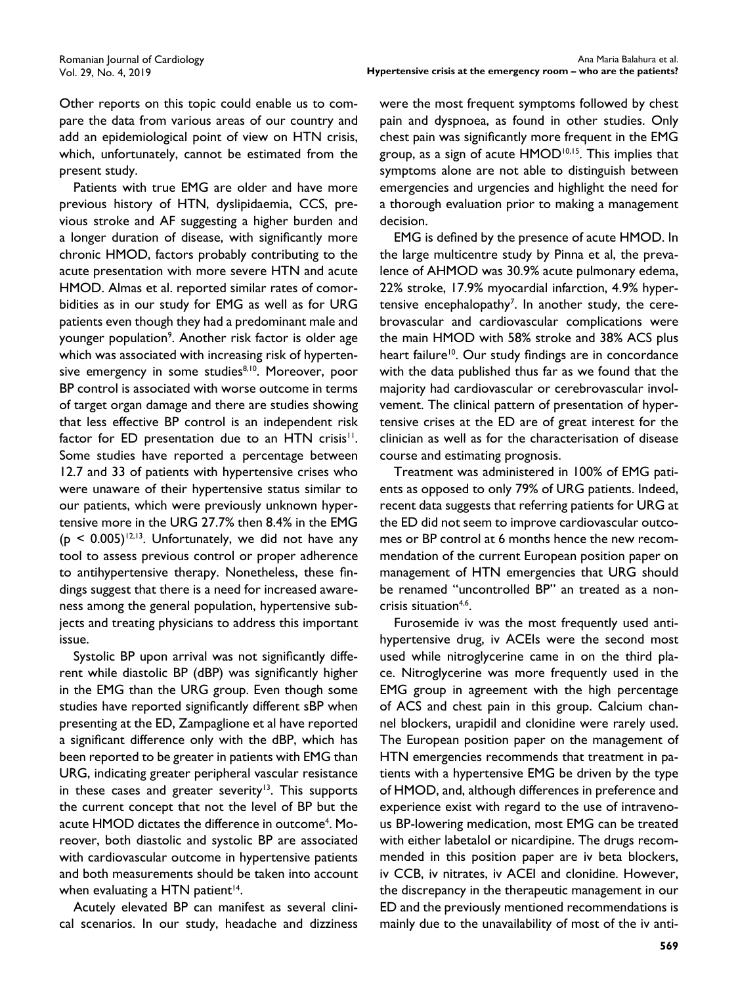Other reports on this topic could enable us to compare the data from various areas of our country and add an epidemiological point of view on HTN crisis, which, unfortunately, cannot be estimated from the present study.

Patients with true EMG are older and have more previous history of HTN, dyslipidaemia, CCS, previous stroke and AF suggesting a higher burden and a longer duration of disease, with significantly more chronic HMOD, factors probably contributing to the acute presentation with more severe HTN and acute HMOD. Almas et al. reported similar rates of comorbidities as in our study for EMG as well as for URG patients even though they had a predominant male and younger population<sup>9</sup>. Another risk factor is older age which was associated with increasing risk of hypertensive emergency in some studies<sup>8,10</sup>. Moreover, poor BP control is associated with worse outcome in terms of target organ damage and there are studies showing that less effective BP control is an independent risk factor for ED presentation due to an HTN crisis<sup>11</sup>. Some studies have reported a percentage between 12.7 and 33 of patients with hypertensive crises who were unaware of their hypertensive status similar to our patients, which were previously unknown hypertensive more in the URG 27.7% then 8.4% in the EMG  $(p < 0.005)^{12,13}$ . Unfortunately, we did not have any tool to assess previous control or proper adherence to antihypertensive therapy. Nonetheless, these findings suggest that there is a need for increased awareness among the general population, hypertensive subjects and treating physicians to address this important issue.

Systolic BP upon arrival was not significantly different while diastolic BP (dBP) was significantly higher in the EMG than the URG group. Even though some studies have reported significantly different sBP when presenting at the ED, Zampaglione et al have reported a significant difference only with the dBP, which has been reported to be greater in patients with EMG than URG, indicating greater peripheral vascular resistance in these cases and greater severity<sup>13</sup>. This supports the current concept that not the level of BP but the acute HMOD dictates the difference in outcome<sup>4</sup>. Moreover, both diastolic and systolic BP are associated with cardiovascular outcome in hypertensive patients and both measurements should be taken into account when evaluating a HTN patient $14$ .

Acutely elevated BP can manifest as several clinical scenarios. In our study, headache and dizziness

were the most frequent symptoms followed by chest pain and dyspnoea, as found in other studies. Only chest pain was significantly more frequent in the EMG group, as a sign of acute HMOD<sup>10,15</sup>. This implies that symptoms alone are not able to distinguish between emergencies and urgencies and highlight the need for a thorough evaluation prior to making a management decision.

EMG is defined by the presence of acute HMOD. In the large multicentre study by Pinna et al, the prevalence of AHMOD was 30.9% acute pulmonary edema, 22% stroke, 17.9% myocardial infarction, 4.9% hypertensive encephalopathy<sup>7</sup>. In another study, the cerebrovascular and cardiovascular complications were the main HMOD with 58% stroke and 38% ACS plus heart failure<sup>10</sup>. Our study findings are in concordance with the data published thus far as we found that the majority had cardiovascular or cerebrovascular involvement. The clinical pattern of presentation of hypertensive crises at the ED are of great interest for the clinician as well as for the characterisation of disease course and estimating prognosis.

Treatment was administered in 100% of EMG patients as opposed to only 79% of URG patients. Indeed, recent data suggests that referring patients for URG at the ED did not seem to improve cardiovascular outcomes or BP control at 6 months hence the new recommendation of the current European position paper on management of HTN emergencies that URG should be renamed "uncontrolled BP" an treated as a noncrisis situation<sup>4,6</sup>.

Furosemide iv was the most frequently used antihypertensive drug, iv ACEIs were the second most used while nitroglycerine came in on the third place. Nitroglycerine was more frequently used in the EMG group in agreement with the high percentage of ACS and chest pain in this group. Calcium channel blockers, urapidil and clonidine were rarely used. The European position paper on the management of HTN emergencies recommends that treatment in patients with a hypertensive EMG be driven by the type of HMOD, and, although differences in preference and experience exist with regard to the use of intravenous BP-lowering medication, most EMG can be treated with either labetalol or nicardipine. The drugs recommended in this position paper are iv beta blockers, iv CCB, iv nitrates, iv ACEI and clonidine. However, the discrepancy in the therapeutic management in our ED and the previously mentioned recommendations is mainly due to the unavailability of most of the iv anti